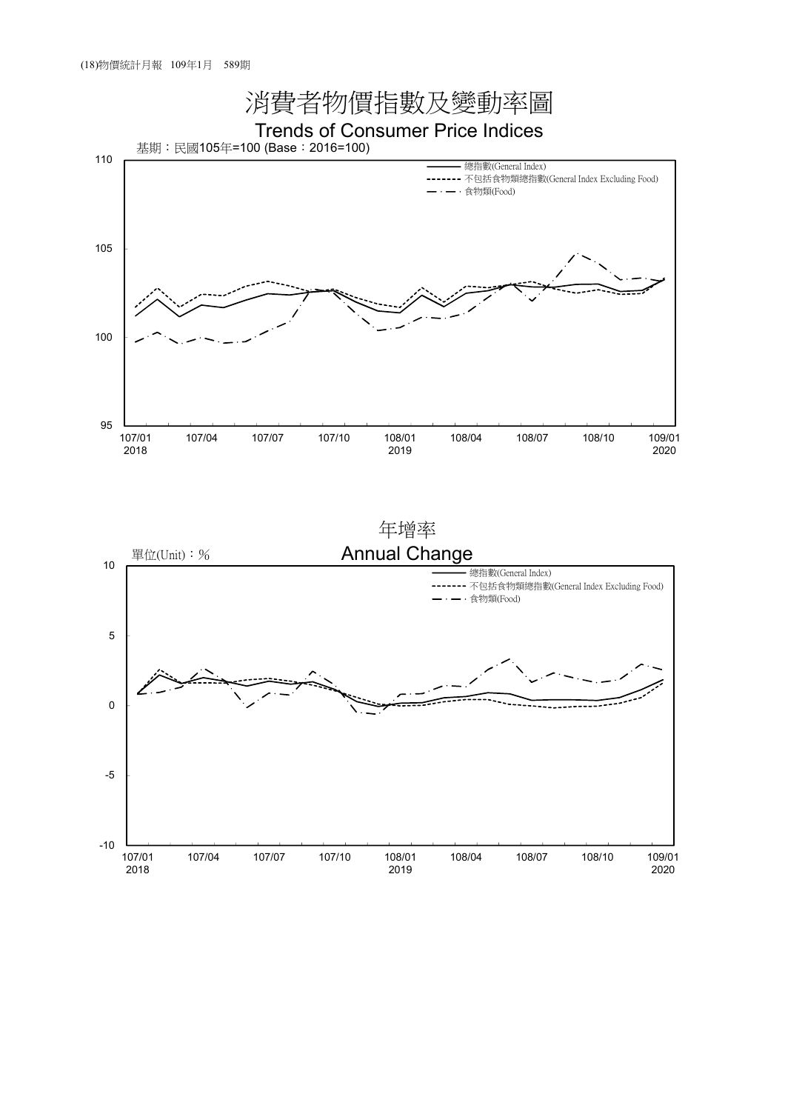

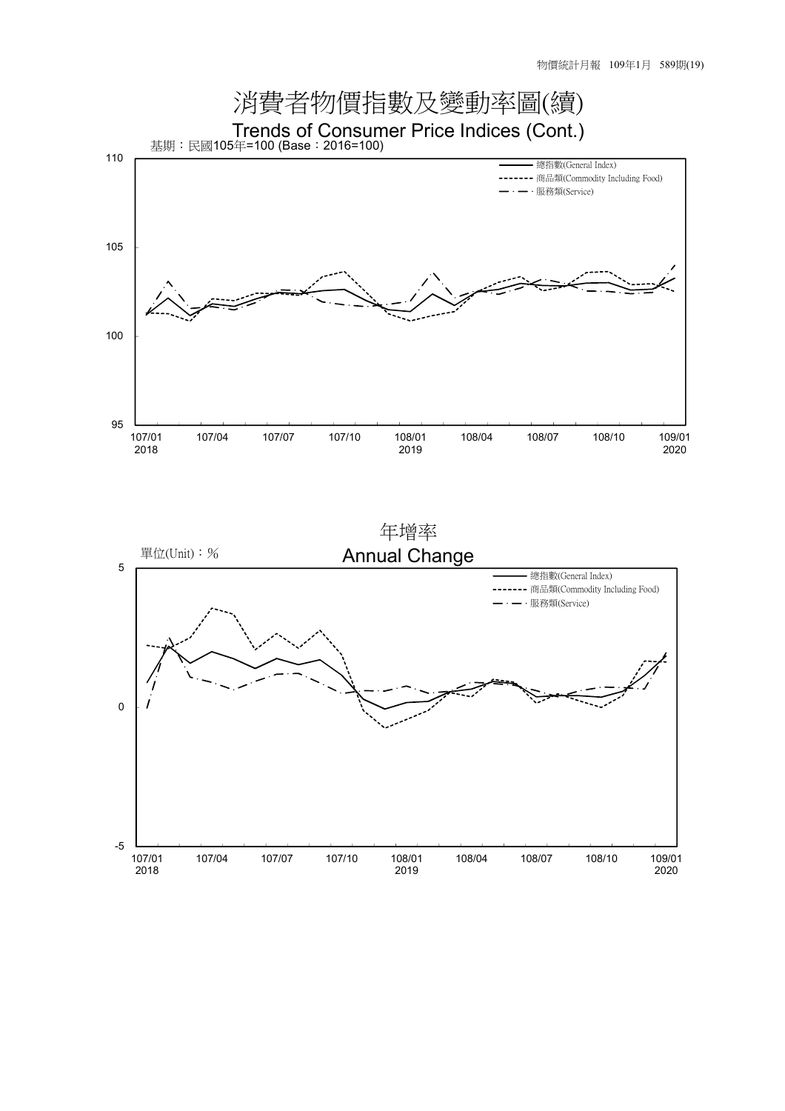